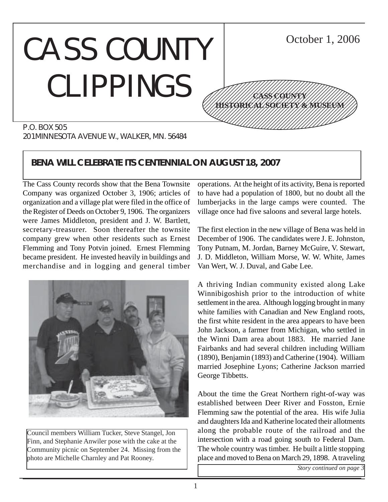#### CASS COUNTY CLIPPINGS P.O. BOX 505 October 1, 2006 12345678901234567890123456789012345678901234567890123456789012345678901234567890123456789012345678901234567890 12345678901234567890123456789012123456789012345 12345678901234567890123456789012123456789012345 12345678901234567890123456789012123456789012345 12345678901234567890123456789012123456789012345 12345678901234567890123456789012123456789012345 12345678901234567890123456789012123456789012345 1234 The Territorial Constitution of the Constitution of the Constitution of the Constitution of the Constitution of 12345678901234567890123456789012345678901234567890123456789012345678901234567890123456789012345678901234567890 **CASS COUNTY HISTORICAL SOCIETY & MUSEUM**

201 MINNESOTA AVENUE W., WALKER, MN. 56484

# **BENA WILL CELEBRATE ITS CENTENNIAL ON AUGUST 18, 2007**

The Cass County records show that the Bena Townsite Company was organized October 3, 1906; articles of organization and a village plat were filed in the office of the Register of Deeds on October 9, 1906. The organizers were James Middleton, president and J. W. Bartlett, secretary-treasurer. Soon thereafter the townsite company grew when other residents such as Ernest Flemming and Tony Potvin joined. Ernest Flemming became president. He invested heavily in buildings and merchandise and in logging and general timber



Council members William Tucker, Steve Stangel, Jon Finn, and Stephanie Anwiler pose with the cake at the Community picnic on September 24. Missing from the photo are Michelle Charnley and Pat Rooney.

operations. At the height of its activity, Bena is reported to have had a population of 1800, but no doubt all the lumberjacks in the large camps were counted. The village once had five saloons and several large hotels.

The first election in the new village of Bena was held in December of 1906. The candidates were J. E. Johnston, Tony Putnam, M. Jordan, Barney McGuire, V. Stewart, J. D. Middleton, William Morse, W. W. White, James Van Wert, W. J. Duval, and Gabe Lee.

A thriving Indian community existed along Lake Winnibigoshish prior to the introduction of white settlement in the area. Although logging brought in many white families with Canadian and New England roots, the first white resident in the area appears to have been John Jackson, a farmer from Michigan, who settled in the Winni Dam area about 1883. He married Jane Fairbanks and had several children including William (1890), Benjamin (1893) and Catherine (1904). William married Josephine Lyons; Catherine Jackson married George Tibbetts.

About the time the Great Northern right-of-way was established between Deer River and Fosston, Ernie Flemming saw the potential of the area. His wife Julia and daughters Ida and Katherine located their allotments along the probable route of the railroad and the intersection with a road going south to Federal Dam. The whole country was timber. He built a little stopping place and moved to Bena on March 29, 1898. A traveling

*Story continued on page 3*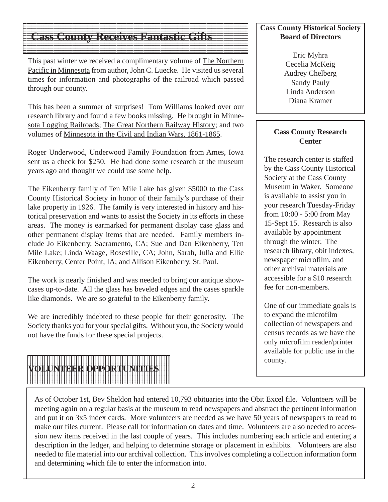#### $1$  9  $\pm$  9  $\pm$  9  $\pm$  9  $\pm$  9  $\pm$  9  $\pm$  9  $\pm$  9  $\pm$  9  $\pm$  9  $\pm$  9  $\pm$  9  $\pm$  9  $\pm$  9  $\pm$  9  $\pm$  9  $\pm$  9  $\pm$  9  $\pm$  9  $\pm$  9  $\pm$  9  $\pm$  9  $\pm$  9  $\pm$  9  $\pm$  9  $\pm$  9  $\pm$  9  $\pm$  9  $\pm$  9  $\pm$  9  $\pm$  9  $\pm$  **Cass County Receives Fantastic Gifts**  $\blacksquare$

This past winter we received a complimentary volume of The Northern Pacific in Minnesota from author, John C. Luecke. He visited us several times for information and photographs of the railroad which passed through our county.

123456789012345678901234567890121234567890123456789012345678901212345678901234567890123456789 123456789012345678901234567890121234567890123456789012345678901212345678901234567890123456789

123456789012345678901234567890121234567890123456789012345678901212345678901234567890123456789  $1$  9  $\pm$  9  $\pm$  9  $\pm$  9  $\pm$  9  $\pm$  9  $\pm$  9  $\pm$  9  $\pm$  9  $\pm$  9  $\pm$  9  $\pm$  9  $\pm$  9  $\pm$  9  $\pm$  9  $\pm$  9  $\pm$  9  $\pm$  9  $\pm$  9  $\pm$  9  $\pm$  9  $\pm$  9  $\pm$  9  $\pm$  9  $\pm$  9  $\pm$  9  $\pm$  9  $\pm$  9  $\pm$  9  $\pm$  9  $\pm$  9  $\pm$  123456789012345678901234567890121234567890123456789012345678901212345678901234567890123456789 12345678901234567890123456789012345678901234567890123456789012345678901234567890123456789012345678901234567890

This has been a summer of surprises! Tom Williams looked over our research library and found a few books missing. He brought in Minnesota Logging Railroads; The Great Northern Railway History; and two volumes of Minnesota in the Civil and Indian Wars, 1861-1865.

Roger Underwood, Underwood Family Foundation from Ames, Iowa sent us a check for \$250. He had done some research at the museum years ago and thought we could use some help.

The Eikenberry family of Ten Mile Lake has given \$5000 to the Cass County Historical Society in honor of their family's purchase of their lake property in 1926. The family is very interested in history and historical preservation and wants to assist the Society in its efforts in these areas. The money is earmarked for permanent display case glass and other permanent display items that are needed. Family members include Jo Eikenberry, Sacramento, CA; Sue and Dan Eikenberry, Ten Mile Lake; Linda Waage, Roseville, CA; John, Sarah, Julia and Ellie Eikenberry, Center Point, IA; and Allison Eikenberry, St. Paul.

The work is nearly finished and was needed to bring our antique showcases up-to-date. All the glass has beveled edges and the cases sparkle like diamonds. We are so grateful to the Eikenberry family.

We are incredibly indebted to these people for their generosity. The Society thanks you for your special gifts. Without you, the Society would not have the funds for these special projects.



## **Cass County Historical Society Board of Directors**

Eric Myhra Cecelia McKeig Audrey Chelberg Sandy Pauly Linda Anderson Diana Kramer

## **Cass County Research Center**

The research center is staffed by the Cass County Historical Society at the Cass County Museum in Waker. Someone is available to assist you in your research Tuesday-Friday from 10:00 - 5:00 from May 15-Sept 15. Research is also available by appointment through the winter. The research library, obit indexes, newspaper microfilm, and other archival materials are accessible for a \$10 research fee for non-members.

One of our immediate goals is to expand the microfilm collection of newspapers and census records as we have the only microfilm reader/printer available for public use in the county.

As of October 1st, Bev Sheldon had entered 10,793 obituaries into the Obit Excel file. Volunteers will be meeting again on a regular basis at the museum to read newspapers and abstract the pertinent information and put it on 3x5 index cards. More volunteers are needed as we have 50 years of newspapers to read to make our files current. Please call for information on dates and time. Volunteers are also needed to accession new items received in the last couple of years. This includes numbering each article and entering a description in the ledger, and helping to determine storage or placement in exhibits. Volunteers are also needed to file material into our archival collection. This involves completing a collection information form and determining which file to enter the information into.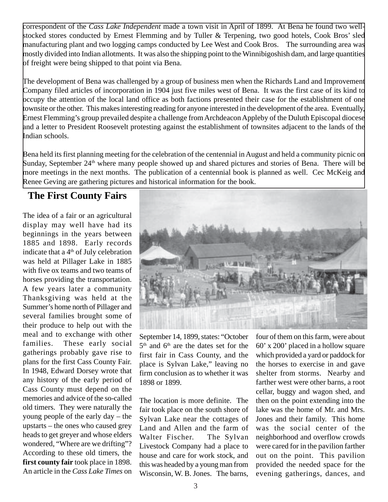correspondent of the *Cass Lake Independent* made a town visit in April of 1899. At Bena he found two wellstocked stores conducted by Ernest Flemming and by Tuller & Terpening, two good hotels, Cook Bros' sled manufacturing plant and two logging camps conducted by Lee West and Cook Bros. The surrounding area was mostly divided into Indian allotments. It was also the shipping point to the Winnibigoshish dam, and large quantities of freight were being shipped to that point via Bena.

The development of Bena was challenged by a group of business men when the Richards Land and Improvement Company filed articles of incorporation in 1904 just five miles west of Bena. It was the first case of its kind to occupy the attention of the local land office as both factions presented their case for the establishment of one townsite or the other. This makes interesting reading for anyone interested in the development of the area. Eventually, Ernest Flemming's group prevailed despite a challenge from Archdeacon Appleby of the Duluth Episcopal diocese and a letter to President Roosevelt protesting against the establishment of townsites adjacent to the lands of the Indian schools.

Bena held its first planning meeting for the celebration of the centennial in August and held a community picnic on Sunday, September  $24<sup>th</sup>$  where many people showed up and shared pictures and stories of Bena. There will be more meetings in the next months. The publication of a centennial book is planned as well. Cec McKeig and Renee Geving are gathering pictures and historical information for the book.

## **The First County Fairs**

The idea of a fair or an agricultural display may well have had its beginnings in the years between 1885 and 1898. Early records indicate that a 4th of July celebration was held at Pillager Lake in 1885 with five ox teams and two teams of horses providing the transportation. A few years later a community Thanksgiving was held at the Summer's home north of Pillager and several families brought some of their produce to help out with the meal and to exchange with other families. These early social gatherings probably gave rise to plans for the first Cass County Fair. In 1948, Edward Dorsey wrote that any history of the early period of Cass County must depend on the memories and advice of the so-called old timers. They were naturally the young people of the early day – the upstarts – the ones who caused grey heads to get greyer and whose elders wondered, "Where are we drifting"? According to these old timers, the **first county fair** took place in 1898. An article in the *Cass Lake Times* on



September 14, 1899, states: "October 5<sup>th</sup> and 6<sup>th</sup> are the dates set for the first fair in Cass County, and the place is Sylvan Lake," leaving no firm conclusion as to whether it was 1898 or 1899.

The location is more definite. The fair took place on the south shore of Sylvan Lake near the cottages of Land and Allen and the farm of Walter Fischer. The Sylvan Livestock Company had a place to house and care for work stock, and this was headed by a young man from Wisconsin, W. B. Jones. The barns,

four of them on this farm, were about 60' x 200' placed in a hollow square which provided a yard or paddock for the horses to exercise in and gave shelter from storms. Nearby and farther west were other barns, a root cellar, buggy and wagon shed, and then on the point extending into the lake was the home of Mr. and Mrs. Jones and their family. This home was the social center of the neighborhood and overflow crowds were cared for in the pavilion farther out on the point. This pavilion provided the needed space for the evening gatherings, dances, and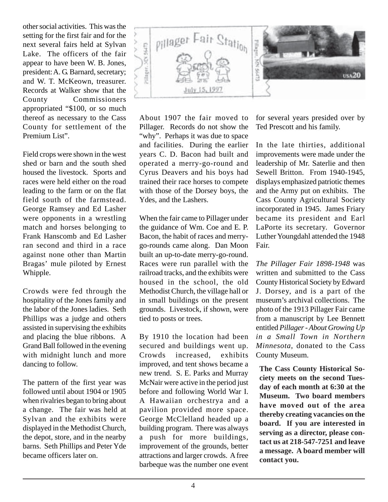other social activities. This was the setting for the first fair and for the next several fairs held at Sylvan Lake. The officers of the fair appear to have been W. B. Jones, president: A. G. Barnard, secretary; and W. T. McKeown, treasurer. Records at Walker show that the County Commissioners appropriated "\$100, or so much thereof as necessary to the Cass County for settlement of the Premium List".

Field crops were shown in the west shed or barn and the south shed housed the livestock. Sports and races were held either on the road leading to the farm or on the flat field south of the farmstead. George Ramsey and Ed Lasher were opponents in a wrestling match and horses belonging to Frank Hanscomb and Ed Lasher ran second and third in a race against none other than Martin Bragas' mule piloted by Ernest Whipple.

Crowds were fed through the hospitality of the Jones family and the labor of the Jones ladies. Seth Phillips was a judge and others assisted in supervising the exhibits and placing the blue ribbons. A Grand Ball followed in the evening with midnight lunch and more dancing to follow.

The pattern of the first year was followed until about 1904 or 1905 when rivalries began to bring about a change. The fair was held at Sylvan and the exhibits were displayed in the Methodist Church, the depot, store, and in the nearby barns. Seth Phillips and Peter Yde became officers later on.



About 1907 the fair moved to Pillager. Records do not show the "why". Perhaps it was due to space and facilities. During the earlier years C. D. Bacon had built and operated a merry-go-round and Cyrus Deavers and his boys had trained their race horses to compete with those of the Dorsey boys, the Ydes, and the Lashers.

When the fair came to Pillager under the guidance of Wm. Coe and E. P. Bacon, the habit of races and merrygo-rounds came along. Dan Moon built an up-to-date merry-go-round. Races were run parallel with the railroad tracks, and the exhibits were housed in the school, the old Methodist Church, the village hall or in small buildings on the present grounds. Livestock, if shown, were tied to posts or trees.

By 1910 the location had been secured and buildings went up. Crowds increased, exhibits improved, and tent shows became a new trend. S. E. Parks and Murray McNair were active in the period just before and following World War I. A Hawaiian orchestrya and a pavilion provided more space. George McClelland headed up a building program. There was always a push for more buildings, improvement of the grounds, better attractions and larger crowds. A free barbeque was the number one event

for several years presided over by Ted Prescott and his family.

In the late thirties, additional improvements were made under the leadership of Mr. Saterlie and then Sewell Britton. From 1940-1945, displays emphasized patriotic themes and the Army put on exhibits. The Cass County Agricultural Society incorporated in 1945. James Friary became its president and Earl LaPorte its secretary. Governor Luther Youngdahl attended the 1948 Fair.

*The Pillager Fair 1898-1948* was written and submitted to the Cass County Historical Society by Edward J. Dorsey, and is a part of the museum's archival collections. The photo of the 1913 Pillager Fair came from a manuscript by Lee Bennett entitled *Pillager - About Growing Up in a Small Town in Northern Minnesota*, donated to the Cass County Museum.

**The Cass County Historical Society meets on the second Tuesday of each month at 6:30 at the Museum. Two board members have moved out of the area thereby creating vacancies on the board. If you are interested in serving as a director, please contact us at 218-547-7251 and leave a message. A board member will contact you.**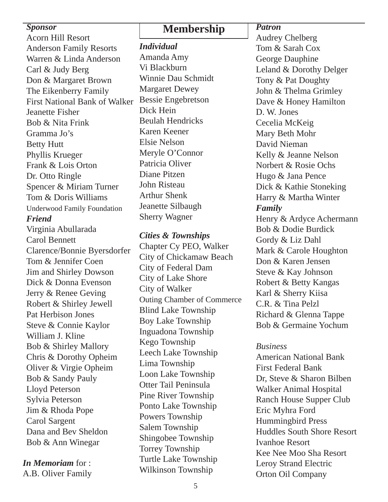**Sponsor**<br>Acorn Hill Resort **Membership** 

## Anderson Family Resorts Warren & Linda Anderson Carl & Judy Berg Don & Margaret Brown The Eikenberry Family First National Bank of Walker Jeanette Fisher Bob & Nita Frink Gramma Jo's Betty Hutt Phyllis Krueger Frank & Lois Orton Dr. Otto Ringle Spencer & Miriam Turner Tom & Doris Williams Underwood Family Foundation *Friend* Virginia Abullarada Carol Bennett Clarence/Bonnie Byersdorfer Tom & Jennifer Coen Jim and Shirley Dowson Dick & Donna Evenson Jerry & Renee Geving Robert & Shirley Jewell Pat Herbison Jones Steve & Connie Kaylor William J. Kline Bob & Shirley Mallory Chris & Dorothy Opheim Oliver & Virgie Opheim Bob & Sandy Pauly Lloyd Peterson Sylvia Peterson

Jim & Rhoda Pope Carol Sargent Dana and Bev Sheldon Bob & Ann Winegar

*In Memoriam* for : A.B. Oliver Family

*Individual* Amanda Amy Vi Blackburn Winnie Dau Schmidt Margaret Dewey Bessie Engebretson Dick Hein Beulah Hendricks Karen Keener Elsie Nelson Meryle O'Connor Patricia Oliver Diane Pitzen John Risteau Arthur Shenk Jeanette Silbaugh Sherry Wagner

*Cities & Townships*

Chapter Cy PEO, Walker City of Chickamaw Beach City of Federal Dam City of Lake Shore City of Walker Outing Chamber of Commerce Blind Lake Township Boy Lake Township Inguadona Township Kego Township Leech Lake Township Lima Township Loon Lake Township Otter Tail Peninsula Pine River Township Ponto Lake Township Powers Township Salem Township Shingobee Township Torrey Township Turtle Lake Township Wilkinson Township

*Patron*

Audrey Chelberg Tom & Sarah Cox George Dauphine Leland & Dorothy Delger Tony & Pat Doughty John & Thelma Grimley Dave & Honey Hamilton D. W. Jones Cecelia McKeig Mary Beth Mohr David Nieman Kelly & Jeanne Nelson Norbert & Rosie Ochs Hugo & Jana Pence Dick & Kathie Stoneking Harry & Martha Winter *Family* Henry & Ardyce Achermann Bob & Dodie Burdick Gordy & Liz Dahl Mark & Carole Houghton Don & Karen Jensen Steve & Kay Johnson Robert & Betty Kangas Karl & Sherry Kiisa C.R. & Tina Pelzl Richard & Glenna Tappe Bob & Germaine Yochum

## *Business*

American National Bank First Federal Bank Dr, Steve & Sharon Bilben Walker Animal Hospital Ranch House Supper Club Eric Myhra Ford Hummingbird Press Huddles South Shore Resort Ivanhoe Resort Kee Nee Moo Sha Resort Leroy Strand Electric Orton Oil Company